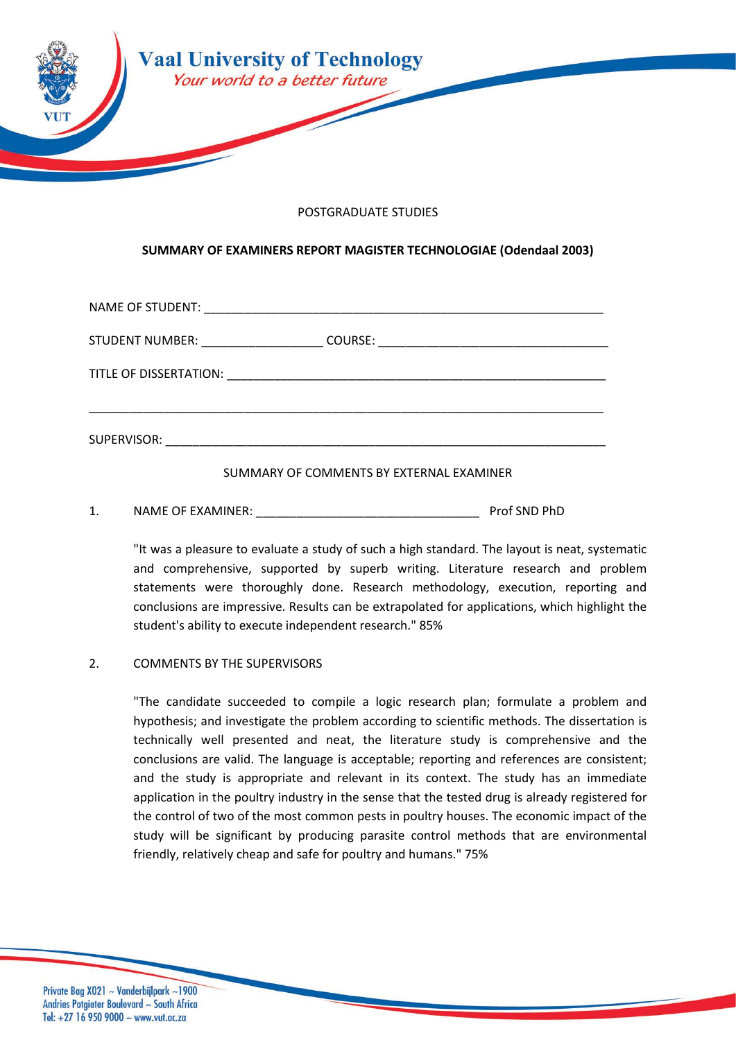

## POSTGRADUATE STUDIES

## **SUMMARY OF EXAMINERS REPORT MAGISTER TECHNOLOGIAE (Odendaal 2003)**

| STUDENT NUMBER: ___________________ |  |
|-------------------------------------|--|
|                                     |  |
|                                     |  |

SUMMARY OF COMMENTS BY EXTERNAL EXAMINER

1. NAME OF EXAMINER: The contract of the contract of the prof SND PhD

"It was a pleasure to evaluate a study of such a high standard. The layout is neat, systematic and comprehensive, supported by superb writing. Literature research and problem statements were thoroughly done. Research methodology, execution, reporting and conclusions are impressive. Results can be extrapolated for applications, which highlight the student's ability to execute independent research." 85%

## 2. COMMENTS BY THE SUPERVISORS

"The candidate succeeded to compile a logic research plan; formulate a problem and hypothesis; and investigate the problem according to scientific methods. The dissertation is technically well presented and neat, the literature study is comprehensive and the conclusions are valid. The language is acceptable; reporting and references are consistent; and the study is appropriate and relevant in its context. The study has an immediate application in the poultry industry in the sense that the tested drug is already registered for the control of two of the most common pests in poultry houses. The economic impact of the study will be significant by producing parasite control methods that are environmental friendly, relatively cheap and safe for poultry and humans." 75%

Private Bag X021 ~ Vanderbijlpark ~1900 Andries Potgieter Boulevard ~ South Africa Tel:  $+27$  16 950 9000 ~ www.vut.ac.za